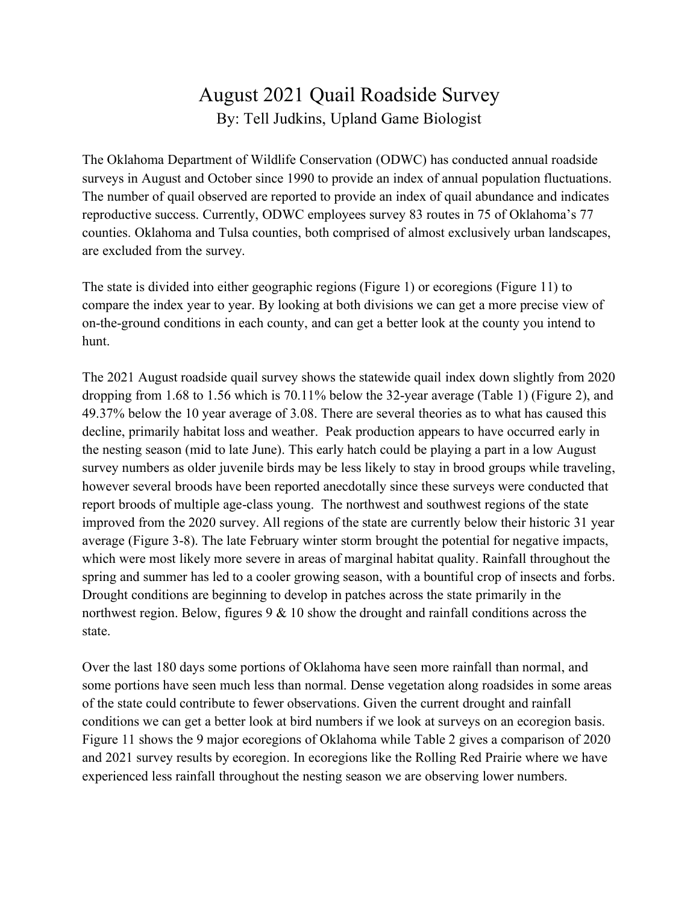## August 2021 Quail Roadside Survey By: Tell Judkins, Upland Game Biologist

The Oklahoma Department of Wildlife Conservation (ODWC) has conducted annual roadside surveys in August and October since 1990 to provide an index of annual population fluctuations. The number of quail observed are reported to provide an index of quail abundance and indicates reproductive success. Currently, ODWC employees survey 83 routes in 75 of Oklahoma's 77 counties. Oklahoma and Tulsa counties, both comprised of almost exclusively urban landscapes, are excluded from the survey.

The state is divided into either geographic regions (Figure 1) or ecoregions (Figure 11) to compare the index year to year. By looking at both divisions we can get a more precise view of on-the-ground conditions in each county, and can get a better look at the county you intend to hunt.

The 2021 August roadside quail survey shows the statewide quail index down slightly from 2020 dropping from 1.68 to 1.56 which is 70.11% below the 32-year average (Table 1) (Figure 2), and 49.37% below the 10 year average of 3.08. There are several theories as to what has caused this decline, primarily habitat loss and weather. Peak production appears to have occurred early in the nesting season (mid to late June). This early hatch could be playing a part in a low August survey numbers as older juvenile birds may be less likely to stay in brood groups while traveling, however several broods have been reported anecdotally since these surveys were conducted that report broods of multiple age-class young. The northwest and southwest regions of the state improved from the 2020 survey. All regions of the state are currently below their historic 31 year average (Figure 3-8). The late February winter storm brought the potential for negative impacts, which were most likely more severe in areas of marginal habitat quality. Rainfall throughout the spring and summer has led to a cooler growing season, with a bountiful crop of insects and forbs. Drought conditions are beginning to develop in patches across the state primarily in the northwest region. Below, figures 9 & 10 show the drought and rainfall conditions across the state.

Over the last 180 days some portions of Oklahoma have seen more rainfall than normal, and some portions have seen much less than normal. Dense vegetation along roadsides in some areas of the state could contribute to fewer observations. Given the current drought and rainfall conditions we can get a better look at bird numbers if we look at surveys on an ecoregion basis. Figure 11 shows the 9 major ecoregions of Oklahoma while Table 2 gives a comparison of 2020 and 2021 survey results by ecoregion. In ecoregions like the Rolling Red Prairie where we have experienced less rainfall throughout the nesting season we are observing lower numbers.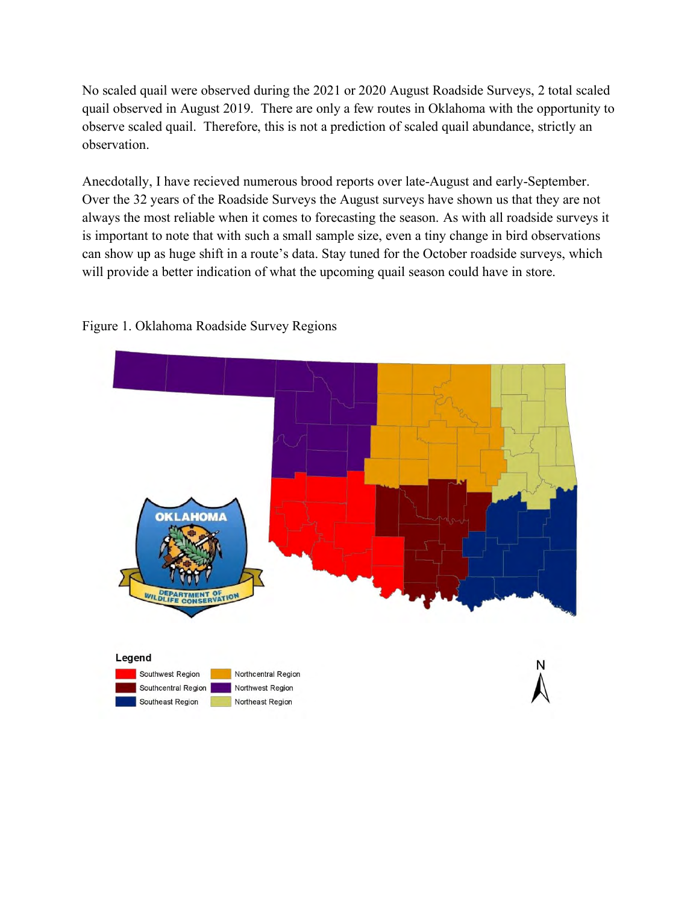No scaled quail were observed during the 2021 or 2020 August Roadside Surveys, 2 total scaled quail observed in August 2019. There are only a few routes in Oklahoma with the opportunity to observe scaled quail. Therefore, this is not a prediction of scaled quail abundance, strictly an observation.

Anecdotally, I have recieved numerous brood reports over late-August and early-September. Over the 32 years of the Roadside Surveys the August surveys have shown us that they are not always the most reliable when it comes to forecasting the season. As with all roadside surveys it is important to note that with such a small sample size, even a tiny change in bird observations can show up as huge shift in a route's data. Stay tuned for the October roadside surveys, which will provide a better indication of what the upcoming quail season could have in store.



## Figure 1. Oklahoma Roadside Survey Regions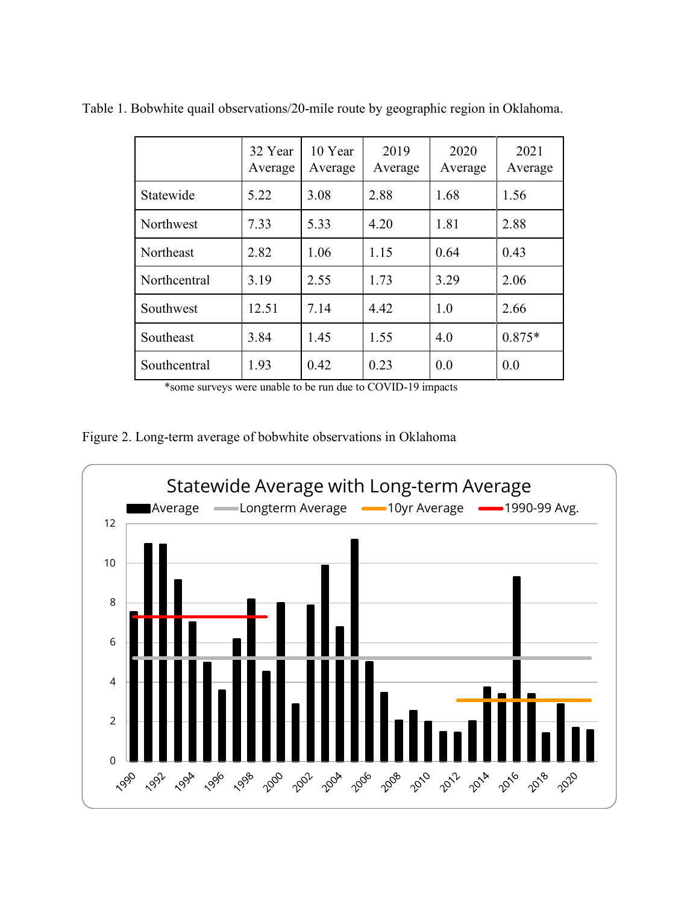|              | 32 Year<br>Average | 10 Year<br>Average | 2019<br>Average | 2020<br>Average | 2021<br>Average |
|--------------|--------------------|--------------------|-----------------|-----------------|-----------------|
| Statewide    | 5.22               | 3.08               | 2.88            | 1.68            | 1.56            |
| Northwest    | 7.33               | 5.33               | 4.20            | 1.81            | 2.88            |
| Northeast    | 2.82               | 1.06               | 1.15            | 0.64            | 0.43            |
| Northcentral | 3.19               | 2.55               | 1.73            | 3.29            | 2.06            |
| Southwest    | 12.51              | 7.14               | 4.42            | 1.0             | 2.66            |
| Southeast    | 3.84               | 1.45               | 1.55            | 4.0             | $0.875*$        |
| Southcentral | 1.93               | 0.42               | 0.23            | 0.0             | 0.0             |

Table 1. Bobwhite quail observations/20-mile route by geographic region in Oklahoma.

\*some surveys were unable to be run due to COVID-19 impacts

Figure 2. Long-term average of bobwhite observations in Oklahoma

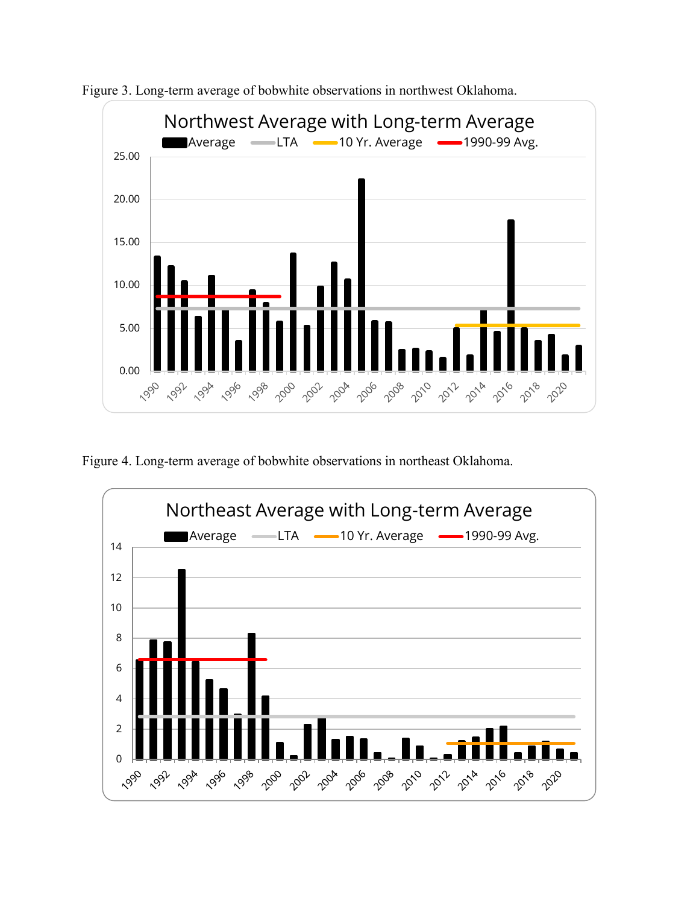

Figure 3. Long-term average of bobwhite observations in northwest Oklahoma.

Figure 4. Long-term average of bobwhite observations in northeast Oklahoma.

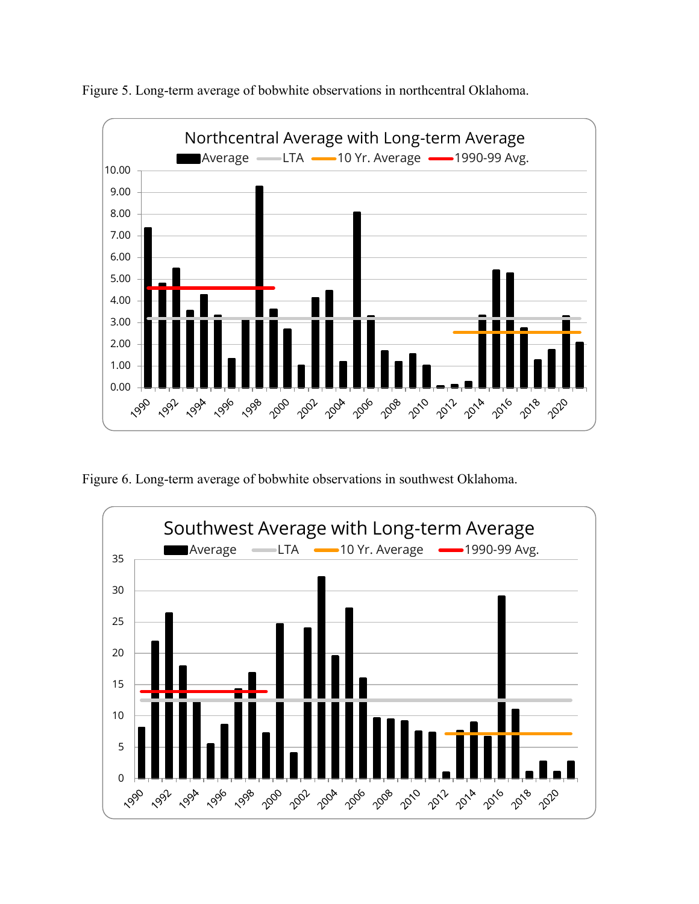

Figure 5. Long-term average of bobwhite observations in northcentral Oklahoma.

Figure 6. Long-term average of bobwhite observations in southwest Oklahoma.

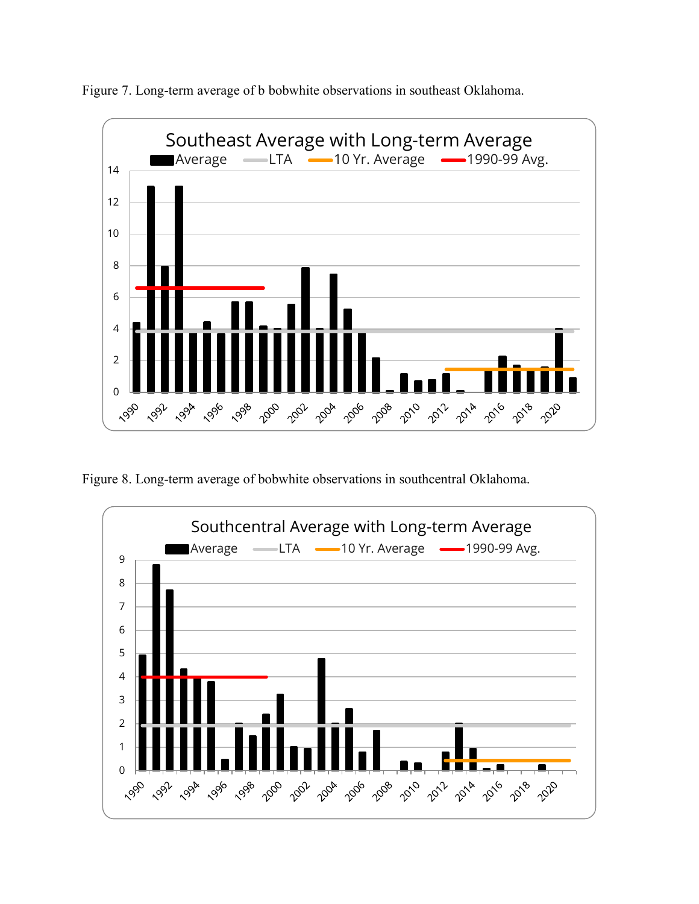

Figure 7. Long-term average of b bobwhite observations in southeast Oklahoma.

Figure 8. Long-term average of bobwhite observations in southcentral Oklahoma.

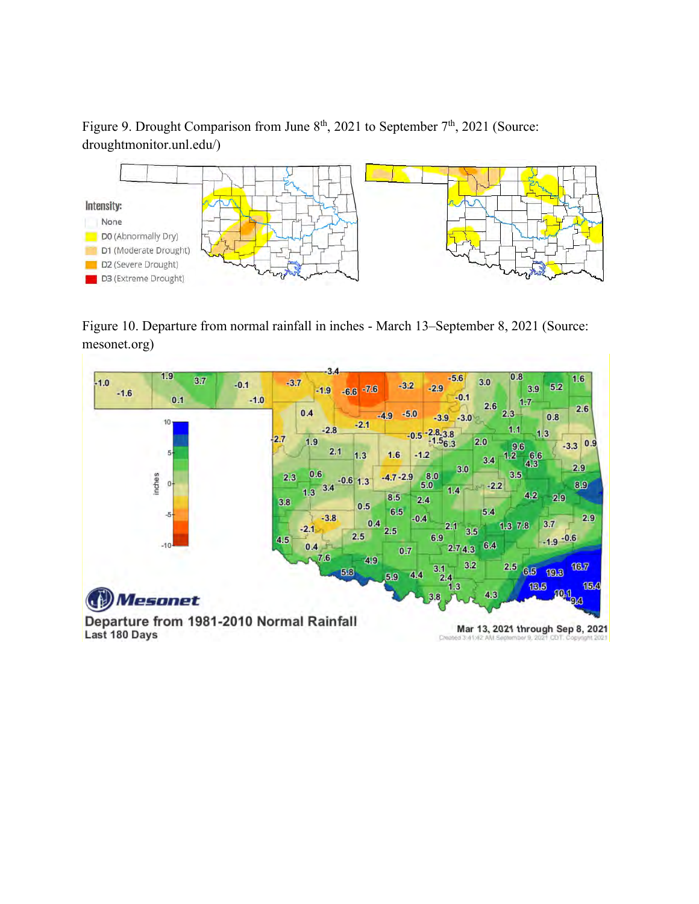Figure 9. Drought Comparison from June  $8<sup>th</sup>$ , 2021 to September  $7<sup>th</sup>$ , 2021 (Source: droughtmonitor.unl.edu/)



Figure 10. Departure from normal rainfall in inches - March 13–September 8, 2021 (Source: mesonet.org)